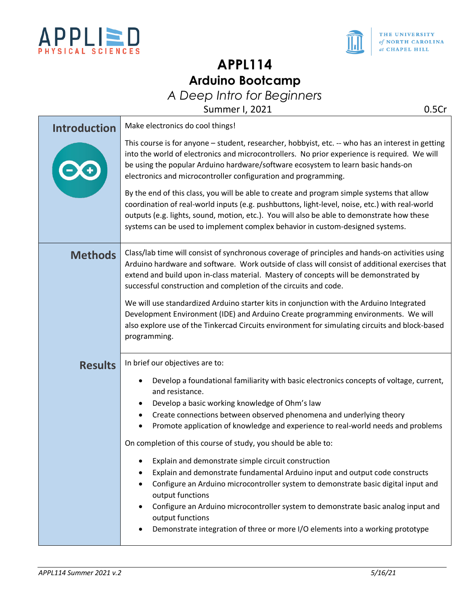



# **APPL114 Arduino Bootcamp**

*A Deep Intro for Beginners*

Summer I, 2021 0.5Cr

| <b>Introduction</b> | Make electronics do cool things!                                                                                                                                                                                                                                                                                                                                            |  |  |
|---------------------|-----------------------------------------------------------------------------------------------------------------------------------------------------------------------------------------------------------------------------------------------------------------------------------------------------------------------------------------------------------------------------|--|--|
|                     | This course is for anyone - student, researcher, hobbyist, etc. -- who has an interest in getting<br>into the world of electronics and microcontrollers. No prior experience is required. We will<br>be using the popular Arduino hardware/software ecosystem to learn basic hands-on<br>electronics and microcontroller configuration and programming.                     |  |  |
|                     | By the end of this class, you will be able to create and program simple systems that allow<br>coordination of real-world inputs (e.g. pushbuttons, light-level, noise, etc.) with real-world<br>outputs (e.g. lights, sound, motion, etc.). You will also be able to demonstrate how these<br>systems can be used to implement complex behavior in custom-designed systems. |  |  |
| <b>Methods</b>      | Class/lab time will consist of synchronous coverage of principles and hands-on activities using<br>Arduino hardware and software. Work outside of class will consist of additional exercises that<br>extend and build upon in-class material. Mastery of concepts will be demonstrated by<br>successful construction and completion of the circuits and code.               |  |  |
|                     | We will use standardized Arduino starter kits in conjunction with the Arduino Integrated<br>Development Environment (IDE) and Arduino Create programming environments. We will<br>also explore use of the Tinkercad Circuits environment for simulating circuits and block-based<br>programming.                                                                            |  |  |
| <b>Results</b>      | In brief our objectives are to:                                                                                                                                                                                                                                                                                                                                             |  |  |
|                     | Develop a foundational familiarity with basic electronics concepts of voltage, current,<br>$\bullet$<br>and resistance.                                                                                                                                                                                                                                                     |  |  |
|                     | Develop a basic working knowledge of Ohm's law                                                                                                                                                                                                                                                                                                                              |  |  |
|                     | Create connections between observed phenomena and underlying theory<br>Promote application of knowledge and experience to real-world needs and problems<br>٠                                                                                                                                                                                                                |  |  |
|                     | On completion of this course of study, you should be able to:                                                                                                                                                                                                                                                                                                               |  |  |
|                     | Explain and demonstrate simple circuit construction<br>٠<br>Explain and demonstrate fundamental Arduino input and output code constructs<br>Configure an Arduino microcontroller system to demonstrate basic digital input and<br>$\bullet$<br>output functions                                                                                                             |  |  |
|                     | Configure an Arduino microcontroller system to demonstrate basic analog input and<br>output functions                                                                                                                                                                                                                                                                       |  |  |
|                     | Demonstrate integration of three or more I/O elements into a working prototype                                                                                                                                                                                                                                                                                              |  |  |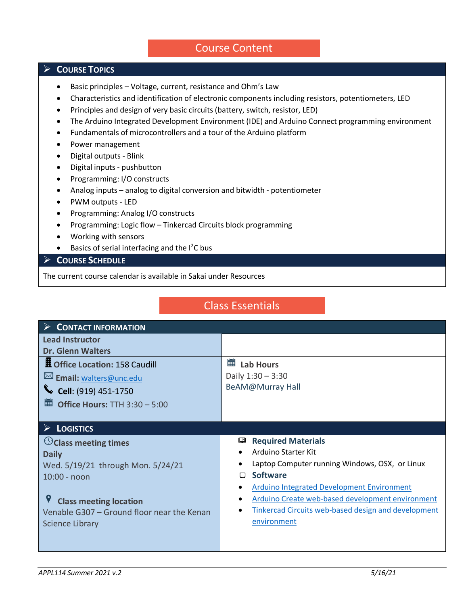### Course Content

### **COURSE TOPICS**

- Basic principles Voltage, current, resistance and Ohm's Law
- Characteristics and identification of electronic components including resistors, potentiometers, LED
- Principles and design of very basic circuits (battery, switch, resistor, LED)
- The Arduino Integrated Development Environment (IDE) and Arduino Connect programming environment
- Fundamentals of microcontrollers and a tour of the Arduino platform
- Power management
- Digital outputs Blink
- Digital inputs pushbutton
- Programming: I/O constructs
- Analog inputs analog to digital conversion and bitwidth potentiometer
- PWM outputs LED
- Programming: Analog I/O constructs
- Programming: Logic flow Tinkercad Circuits block programming
- Working with sensors
- $\bullet$  Basics of serial interfacing and the I<sup>2</sup>C bus

#### **COURSE SCHEDULE**

The current course calendar is available in Sakai under Resources

## Class Essentials

| $\triangleright$ CONTACT INFORMATION       |                                                     |  |  |  |
|--------------------------------------------|-----------------------------------------------------|--|--|--|
| <b>Lead Instructor</b>                     |                                                     |  |  |  |
| <b>Dr. Glenn Walters</b>                   |                                                     |  |  |  |
| <b>H</b> Office Location: 158 Caudill      | 雦<br><b>Lab Hours</b>                               |  |  |  |
| Email: walters@unc.edu                     | Daily $1:30 - 3:30$                                 |  |  |  |
| Cell: (919) 451-1750                       | BeAM@Murray Hall                                    |  |  |  |
| <b>iii</b> Office Hours: TTH $3:30 - 5:00$ |                                                     |  |  |  |
|                                            |                                                     |  |  |  |
| $\triangleright$ Logistics                 |                                                     |  |  |  |
| $\heartsuit$ Class meeting times           | <b>Required Materials</b><br>四                      |  |  |  |
| <b>Daily</b>                               | Arduino Starter Kit                                 |  |  |  |
| Wed. 5/19/21 through Mon. 5/24/21          | Laptop Computer running Windows, OSX, or Linux      |  |  |  |
| $10:00 - no$                               | <b>Software</b><br>□                                |  |  |  |
|                                            | <b>Arduino Integrated Development Environment</b>   |  |  |  |
| <b>Class meeting location</b>              | Arduino Create web-based development environment    |  |  |  |
| Venable G307 – Ground floor near the Kenan | Tinkercad Circuits web-based design and development |  |  |  |
| <b>Science Library</b>                     | environment                                         |  |  |  |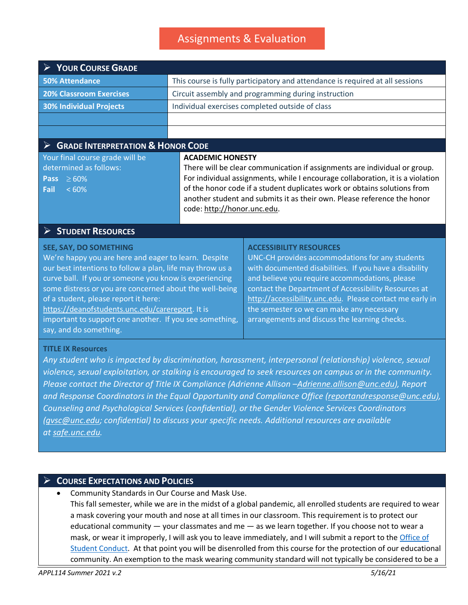# Assignments & Evaluation

| <b>► YOUR COURSE GRADE</b>                                                                                                                                                                                                                                                                                                                                                                                                                        |  |                                                                                                                                                                                                                                                                                                                                                                                                                 |  |  |
|---------------------------------------------------------------------------------------------------------------------------------------------------------------------------------------------------------------------------------------------------------------------------------------------------------------------------------------------------------------------------------------------------------------------------------------------------|--|-----------------------------------------------------------------------------------------------------------------------------------------------------------------------------------------------------------------------------------------------------------------------------------------------------------------------------------------------------------------------------------------------------------------|--|--|
| <b>50% Attendance</b>                                                                                                                                                                                                                                                                                                                                                                                                                             |  | This course is fully participatory and attendance is required at all sessions                                                                                                                                                                                                                                                                                                                                   |  |  |
| <b>20% Classroom Exercises</b>                                                                                                                                                                                                                                                                                                                                                                                                                    |  | Circuit assembly and programming during instruction                                                                                                                                                                                                                                                                                                                                                             |  |  |
| <b>30% Individual Projects</b>                                                                                                                                                                                                                                                                                                                                                                                                                    |  | Individual exercises completed outside of class                                                                                                                                                                                                                                                                                                                                                                 |  |  |
|                                                                                                                                                                                                                                                                                                                                                                                                                                                   |  |                                                                                                                                                                                                                                                                                                                                                                                                                 |  |  |
|                                                                                                                                                                                                                                                                                                                                                                                                                                                   |  |                                                                                                                                                                                                                                                                                                                                                                                                                 |  |  |
| $\triangleright$ GRADE INTERPRETATION & HONOR CODE                                                                                                                                                                                                                                                                                                                                                                                                |  |                                                                                                                                                                                                                                                                                                                                                                                                                 |  |  |
| Your final course grade will be<br>determined as follows:<br>$\geq 60\%$<br><b>Pass</b><br>$<60\%$<br>Fail                                                                                                                                                                                                                                                                                                                                        |  | <b>ACADEMIC HONESTY</b><br>There will be clear communication if assignments are individual or group.<br>For individual assignments, while I encourage collaboration, it is a violation<br>of the honor code if a student duplicates work or obtains solutions from<br>another student and submits it as their own. Please reference the honor<br>code: http://honor.unc.edu.                                    |  |  |
| <b>STUDENT RESOURCES</b>                                                                                                                                                                                                                                                                                                                                                                                                                          |  |                                                                                                                                                                                                                                                                                                                                                                                                                 |  |  |
| SEE, SAY, DO SOMETHING<br>We're happy you are here and eager to learn. Despite<br>our best intentions to follow a plan, life may throw us a<br>curve ball. If you or someone you know is experiencing<br>some distress or you are concerned about the well-being<br>of a student, please report it here:<br>https://deanofstudents.unc.edu/carereport. It is<br>important to support one another. If you see something,<br>say, and do something. |  | <b>ACCESSIBILITY RESOURCES</b><br>UNC-CH provides accommodations for any students<br>with documented disabilities. If you have a disability<br>and believe you require accommodations, please<br>contact the Department of Accessibility Resources at<br>http://accessibility.unc.edu. Please contact me early in<br>the semester so we can make any necessary<br>arrangements and discuss the learning checks. |  |  |

#### **TITLE IX Resources**

*Any student who is impacted by discrimination, harassment, interpersonal (relationship) violence, sexual violence, sexual exploitation, or stalking is encouraged to seek resources on campus or in the community. Please contact the Director of Title IX Compliance (Adrienne Allison [–Adrienne.allison@unc.edu\)](mailto:Adrienne.allison@unc.edu), Report and Response Coordinators in the Equal Opportunity and Compliance Office [\(reportandresponse@unc.edu\)](mailto:reportandresponse@unc.edu), Counseling and Psychological Services (confidential), or the Gender Violence Services Coordinators [\(gvsc@unc.edu;](mailto:gvsc@unc.edu) confidential) to discuss your specific needs. Additional resources are available at [safe.unc.edu.](http://safe.unc.edu/)*

### **COURSE EXPECTATIONS AND POLICIES**

• Community Standards in Our Course and Mask Use. This fall semester, while we are in the midst of a global pandemic, all enrolled students are required to wear a mask covering your mouth and nose at all times in our classroom. This requirement is to protect our educational community — your classmates and me — as we learn together. If you choose not to wear a mask, or wear it improperly, I will ask you to leave immediately, and I will submit a report to the Office of [Student Conduct.](https://cm.maxient.com/reportingform.php?UNCChapelHill&layout_id=23) At that point you will be disenrolled from this course for the protection of our educational community. An exemption to the mask wearing community standard will not typically be considered to be a